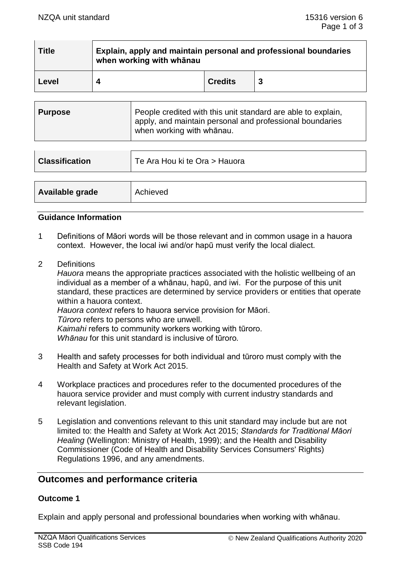| <b>Title</b> | Explain, apply and maintain personal and professional boundaries<br>when working with whanau |                |  |
|--------------|----------------------------------------------------------------------------------------------|----------------|--|
| Level        | Δ                                                                                            | <b>Credits</b> |  |

| <b>Purpose</b> | People credited with this unit standard are able to explain,<br>apply, and maintain personal and professional boundaries<br>when working with whanau. |
|----------------|-------------------------------------------------------------------------------------------------------------------------------------------------------|
|----------------|-------------------------------------------------------------------------------------------------------------------------------------------------------|

| <b>Classification</b> | Te Ara Hou ki te Ora > Hauora |
|-----------------------|-------------------------------|
|                       |                               |
| Available grade       | Achieved                      |

### **Guidance Information**

- 1 Definitions of Māori words will be those relevant and in common usage in a hauora context. However, the local iwi and/or hapū must verify the local dialect.
- 2 Definitions

*Hauora* means the appropriate practices associated with the holistic wellbeing of an individual as a member of a whānau, hapū, and iwi. For the purpose of this unit standard, these practices are determined by service providers or entities that operate within a hauora context. *Hauora context* refers to hauora service provision for Māori. *Tūroro* refers to persons who are unwell.

*Kaimahi* refers to community workers working with tūroro.

*Whānau* for this unit standard is inclusive of tūroro*.*

- 3 Health and safety processes for both individual and tūroro must comply with the Health and Safety at Work Act 2015.
- 4 Workplace practices and procedures refer to the documented procedures of the hauora service provider and must comply with current industry standards and relevant legislation.
- 5 Legislation and conventions relevant to this unit standard may include but are not limited to: the Health and Safety at Work Act 2015; *Standards for Traditional Māori Healing* (Wellington: Ministry of Health, 1999); and the Health and Disability Commissioner (Code of Health and Disability Services Consumers' Rights) Regulations 1996, and any amendments.

# **Outcomes and performance criteria**

#### **Outcome 1**

Explain and apply personal and professional boundaries when working with whānau.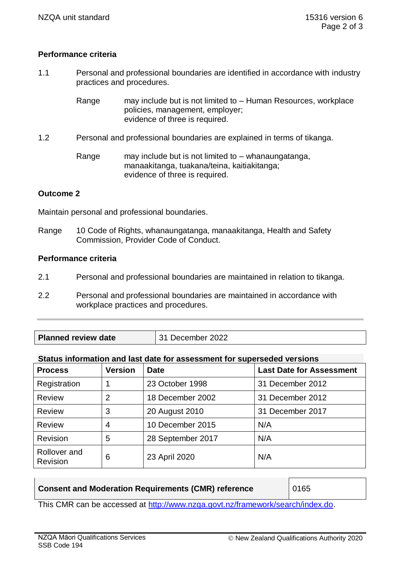## **Performance criteria**

- 1.1 Personal and professional boundaries are identified in accordance with industry practices and procedures.
	- Range may include but is not limited to Human Resources, workplace policies, management, employer; evidence of three is required.
- 1.2 Personal and professional boundaries are explained in terms of tikanga.

Range may include but is not limited to – whanaungatanga, manaakitanga, tuakana/teina, kaitiakitanga; evidence of three is required.

## **Outcome 2**

Maintain personal and professional boundaries.

Range 10 Code of Rights, whanaungatanga, manaakitanga, Health and Safety Commission, Provider Code of Conduct.

### **Performance criteria**

- 2.1 Personal and professional boundaries are maintained in relation to tikanga.
- 2.2 Personal and professional boundaries are maintained in accordance with workplace practices and procedures.
- **Planned review date** 31 December 2022

#### **Status information and last date for assessment for superseded versions**

| <b>Process</b>           | <b>Version</b> | <b>Date</b>       | <b>Last Date for Assessment</b> |
|--------------------------|----------------|-------------------|---------------------------------|
| Registration             |                | 23 October 1998   | 31 December 2012                |
| <b>Review</b>            | $\overline{2}$ | 18 December 2002  | 31 December 2012                |
| <b>Review</b>            | 3              | 20 August 2010    | 31 December 2017                |
| <b>Review</b>            | $\overline{4}$ | 10 December 2015  | N/A                             |
| <b>Revision</b>          | 5              | 28 September 2017 | N/A                             |
| Rollover and<br>Revision | 6              | 23 April 2020     | N/A                             |

| <b>Consent and Moderation Requirements (CMR) reference</b> | 0165 |
|------------------------------------------------------------|------|

This CMR can be accessed at [http://www.nzqa.govt.nz/framework/search/index.do.](http://www.nzqa.govt.nz/framework/search/index.do)